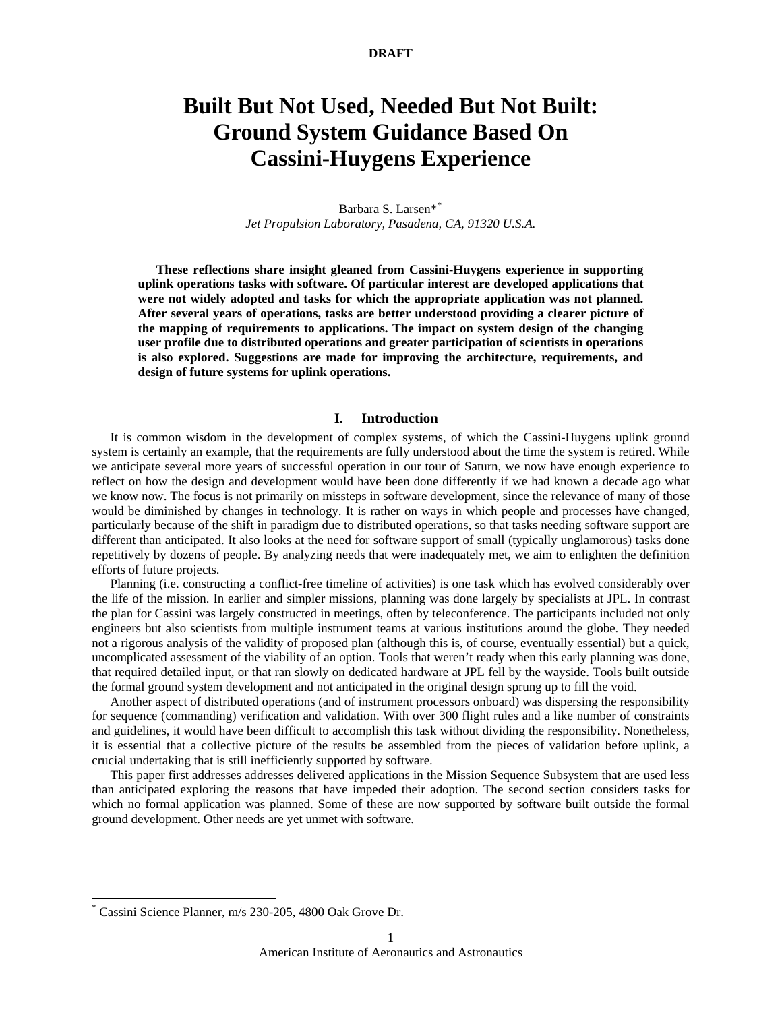#### **DRAFT**

# **Built But Not Used, Needed But Not Built: Ground System Guidance Based On Cassini-Huygens Experience**

Barbara S. Larsen\*[\\*](#page-0-0) *Jet Propulsion Laboratory, Pasadena, CA, 91320 U.S.A.* 

**These reflections share insight gleaned from Cassini-Huygens experience in supporting uplink operations tasks with software. Of particular interest are developed applications that were not widely adopted and tasks for which the appropriate application was not planned. After several years of operations, tasks are better understood providing a clearer picture of the mapping of requirements to applications. The impact on system design of the changing user profile due to distributed operations and greater participation of scientists in operations is also explored. Suggestions are made for improving the architecture, requirements, and design of future systems for uplink operations.** 

## **I. Introduction**

It is common wisdom in the development of complex systems, of which the Cassini-Huygens uplink ground system is certainly an example, that the requirements are fully understood about the time the system is retired. While we anticipate several more years of successful operation in our tour of Saturn, we now have enough experience to reflect on how the design and development would have been done differently if we had known a decade ago what we know now. The focus is not primarily on missteps in software development, since the relevance of many of those would be diminished by changes in technology. It is rather on ways in which people and processes have changed, particularly because of the shift in paradigm due to distributed operations, so that tasks needing software support are different than anticipated. It also looks at the need for software support of small (typically unglamorous) tasks done repetitively by dozens of people. By analyzing needs that were inadequately met, we aim to enlighten the definition efforts of future projects.

Planning (i.e. constructing a conflict-free timeline of activities) is one task which has evolved considerably over the life of the mission. In earlier and simpler missions, planning was done largely by specialists at JPL. In contrast the plan for Cassini was largely constructed in meetings, often by teleconference. The participants included not only engineers but also scientists from multiple instrument teams at various institutions around the globe. They needed not a rigorous analysis of the validity of proposed plan (although this is, of course, eventually essential) but a quick, uncomplicated assessment of the viability of an option. Tools that weren't ready when this early planning was done, that required detailed input, or that ran slowly on dedicated hardware at JPL fell by the wayside. Tools built outside the formal ground system development and not anticipated in the original design sprung up to fill the void.

Another aspect of distributed operations (and of instrument processors onboard) was dispersing the responsibility for sequence (commanding) verification and validation. With over 300 flight rules and a like number of constraints and guidelines, it would have been difficult to accomplish this task without dividing the responsibility. Nonetheless, it is essential that a collective picture of the results be assembled from the pieces of validation before uplink, a crucial undertaking that is still inefficiently supported by software.

This paper first addresses addresses delivered applications in the Mission Sequence Subsystem that are used less than anticipated exploring the reasons that have impeded their adoption. The second section considers tasks for which no formal application was planned. Some of these are now supported by software built outside the formal ground development. Other needs are yet unmet with software.

-

<span id="page-0-0"></span><sup>\*</sup> Cassini Science Planner, m/s 230-205, 4800 Oak Grove Dr.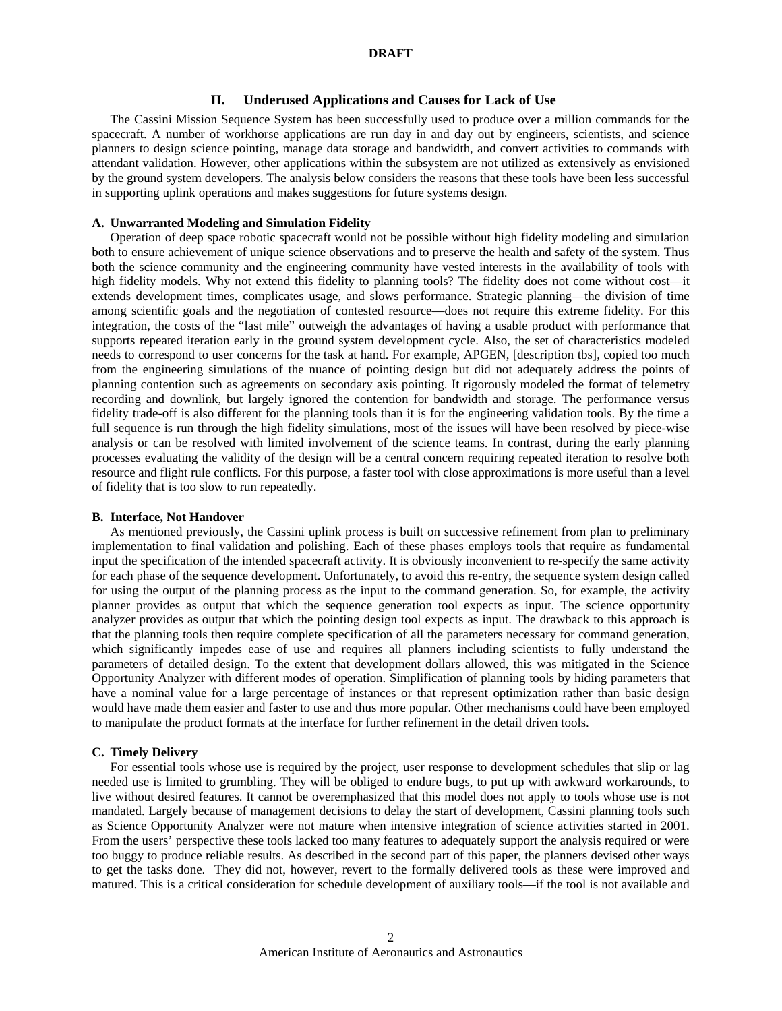# **II. Underused Applications and Causes for Lack of Use**

The Cassini Mission Sequence System has been successfully used to produce over a million commands for the spacecraft. A number of workhorse applications are run day in and day out by engineers, scientists, and science planners to design science pointing, manage data storage and bandwidth, and convert activities to commands with attendant validation. However, other applications within the subsystem are not utilized as extensively as envisioned by the ground system developers. The analysis below considers the reasons that these tools have been less successful in supporting uplink operations and makes suggestions for future systems design.

#### **A. Unwarranted Modeling and Simulation Fidelity**

Operation of deep space robotic spacecraft would not be possible without high fidelity modeling and simulation both to ensure achievement of unique science observations and to preserve the health and safety of the system. Thus both the science community and the engineering community have vested interests in the availability of tools with high fidelity models. Why not extend this fidelity to planning tools? The fidelity does not come without cost—it extends development times, complicates usage, and slows performance. Strategic planning—the division of time among scientific goals and the negotiation of contested resource—does not require this extreme fidelity. For this integration, the costs of the "last mile" outweigh the advantages of having a usable product with performance that supports repeated iteration early in the ground system development cycle. Also, the set of characteristics modeled needs to correspond to user concerns for the task at hand. For example, APGEN, [description tbs], copied too much from the engineering simulations of the nuance of pointing design but did not adequately address the points of planning contention such as agreements on secondary axis pointing. It rigorously modeled the format of telemetry recording and downlink, but largely ignored the contention for bandwidth and storage. The performance versus fidelity trade-off is also different for the planning tools than it is for the engineering validation tools. By the time a full sequence is run through the high fidelity simulations, most of the issues will have been resolved by piece-wise analysis or can be resolved with limited involvement of the science teams. In contrast, during the early planning processes evaluating the validity of the design will be a central concern requiring repeated iteration to resolve both resource and flight rule conflicts. For this purpose, a faster tool with close approximations is more useful than a level of fidelity that is too slow to run repeatedly.

#### **B. Interface, Not Handover**

As mentioned previously, the Cassini uplink process is built on successive refinement from plan to preliminary implementation to final validation and polishing. Each of these phases employs tools that require as fundamental input the specification of the intended spacecraft activity. It is obviously inconvenient to re-specify the same activity for each phase of the sequence development. Unfortunately, to avoid this re-entry, the sequence system design called for using the output of the planning process as the input to the command generation. So, for example, the activity planner provides as output that which the sequence generation tool expects as input. The science opportunity analyzer provides as output that which the pointing design tool expects as input. The drawback to this approach is that the planning tools then require complete specification of all the parameters necessary for command generation, which significantly impedes ease of use and requires all planners including scientists to fully understand the parameters of detailed design. To the extent that development dollars allowed, this was mitigated in the Science Opportunity Analyzer with different modes of operation. Simplification of planning tools by hiding parameters that have a nominal value for a large percentage of instances or that represent optimization rather than basic design would have made them easier and faster to use and thus more popular. Other mechanisms could have been employed to manipulate the product formats at the interface for further refinement in the detail driven tools.

#### **C. Timely Delivery**

For essential tools whose use is required by the project, user response to development schedules that slip or lag needed use is limited to grumbling. They will be obliged to endure bugs, to put up with awkward workarounds, to live without desired features. It cannot be overemphasized that this model does not apply to tools whose use is not mandated. Largely because of management decisions to delay the start of development, Cassini planning tools such as Science Opportunity Analyzer were not mature when intensive integration of science activities started in 2001. From the users' perspective these tools lacked too many features to adequately support the analysis required or were too buggy to produce reliable results. As described in the second part of this paper, the planners devised other ways to get the tasks done. They did not, however, revert to the formally delivered tools as these were improved and matured. This is a critical consideration for schedule development of auxiliary tools—if the tool is not available and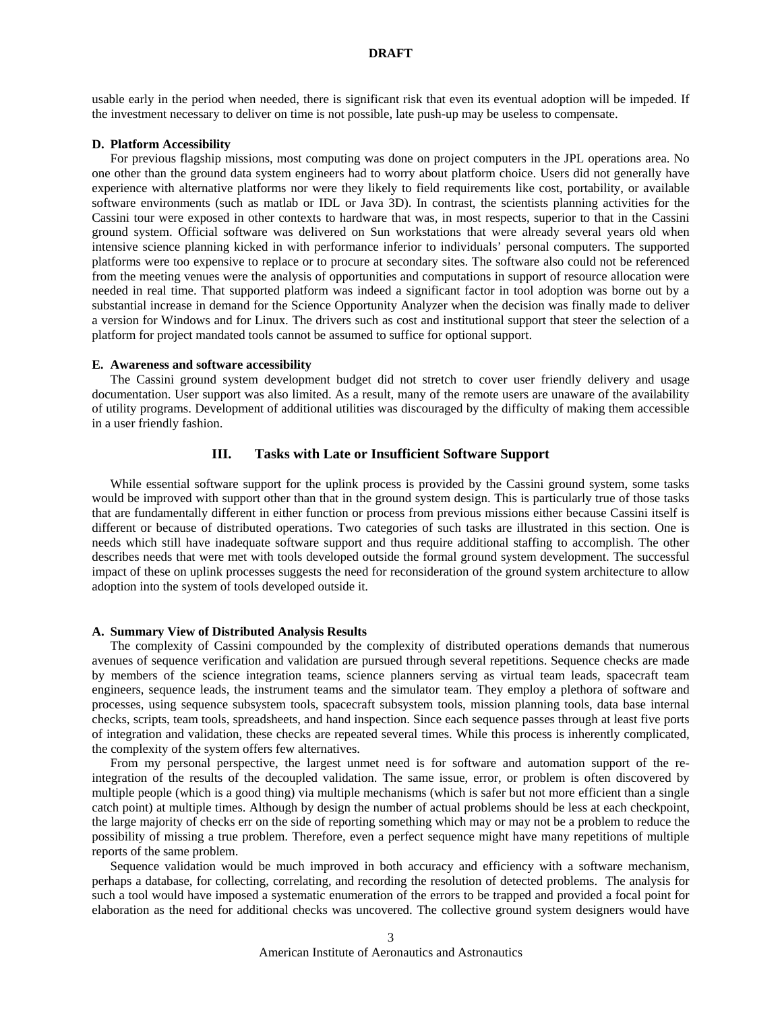#### **DRAFT**

usable early in the period when needed, there is significant risk that even its eventual adoption will be impeded. If the investment necessary to deliver on time is not possible, late push-up may be useless to compensate.

#### **D. Platform Accessibility**

For previous flagship missions, most computing was done on project computers in the JPL operations area. No one other than the ground data system engineers had to worry about platform choice. Users did not generally have experience with alternative platforms nor were they likely to field requirements like cost, portability, or available software environments (such as matlab or IDL or Java 3D). In contrast, the scientists planning activities for the Cassini tour were exposed in other contexts to hardware that was, in most respects, superior to that in the Cassini ground system. Official software was delivered on Sun workstations that were already several years old when intensive science planning kicked in with performance inferior to individuals' personal computers. The supported platforms were too expensive to replace or to procure at secondary sites. The software also could not be referenced from the meeting venues were the analysis of opportunities and computations in support of resource allocation were needed in real time. That supported platform was indeed a significant factor in tool adoption was borne out by a substantial increase in demand for the Science Opportunity Analyzer when the decision was finally made to deliver a version for Windows and for Linux. The drivers such as cost and institutional support that steer the selection of a platform for project mandated tools cannot be assumed to suffice for optional support.

## **E. Awareness and software accessibility**

The Cassini ground system development budget did not stretch to cover user friendly delivery and usage documentation. User support was also limited. As a result, many of the remote users are unaware of the availability of utility programs. Development of additional utilities was discouraged by the difficulty of making them accessible in a user friendly fashion.

## **III. Tasks with Late or Insufficient Software Support**

While essential software support for the uplink process is provided by the Cassini ground system, some tasks would be improved with support other than that in the ground system design. This is particularly true of those tasks that are fundamentally different in either function or process from previous missions either because Cassini itself is different or because of distributed operations. Two categories of such tasks are illustrated in this section. One is needs which still have inadequate software support and thus require additional staffing to accomplish. The other describes needs that were met with tools developed outside the formal ground system development. The successful impact of these on uplink processes suggests the need for reconsideration of the ground system architecture to allow adoption into the system of tools developed outside it.

### **A. Summary View of Distributed Analysis Results**

The complexity of Cassini compounded by the complexity of distributed operations demands that numerous avenues of sequence verification and validation are pursued through several repetitions. Sequence checks are made by members of the science integration teams, science planners serving as virtual team leads, spacecraft team engineers, sequence leads, the instrument teams and the simulator team. They employ a plethora of software and processes, using sequence subsystem tools, spacecraft subsystem tools, mission planning tools, data base internal checks, scripts, team tools, spreadsheets, and hand inspection. Since each sequence passes through at least five ports of integration and validation, these checks are repeated several times. While this process is inherently complicated, the complexity of the system offers few alternatives.

From my personal perspective, the largest unmet need is for software and automation support of the reintegration of the results of the decoupled validation. The same issue, error, or problem is often discovered by multiple people (which is a good thing) via multiple mechanisms (which is safer but not more efficient than a single catch point) at multiple times. Although by design the number of actual problems should be less at each checkpoint, the large majority of checks err on the side of reporting something which may or may not be a problem to reduce the possibility of missing a true problem. Therefore, even a perfect sequence might have many repetitions of multiple reports of the same problem.

Sequence validation would be much improved in both accuracy and efficiency with a software mechanism, perhaps a database, for collecting, correlating, and recording the resolution of detected problems. The analysis for such a tool would have imposed a systematic enumeration of the errors to be trapped and provided a focal point for elaboration as the need for additional checks was uncovered. The collective ground system designers would have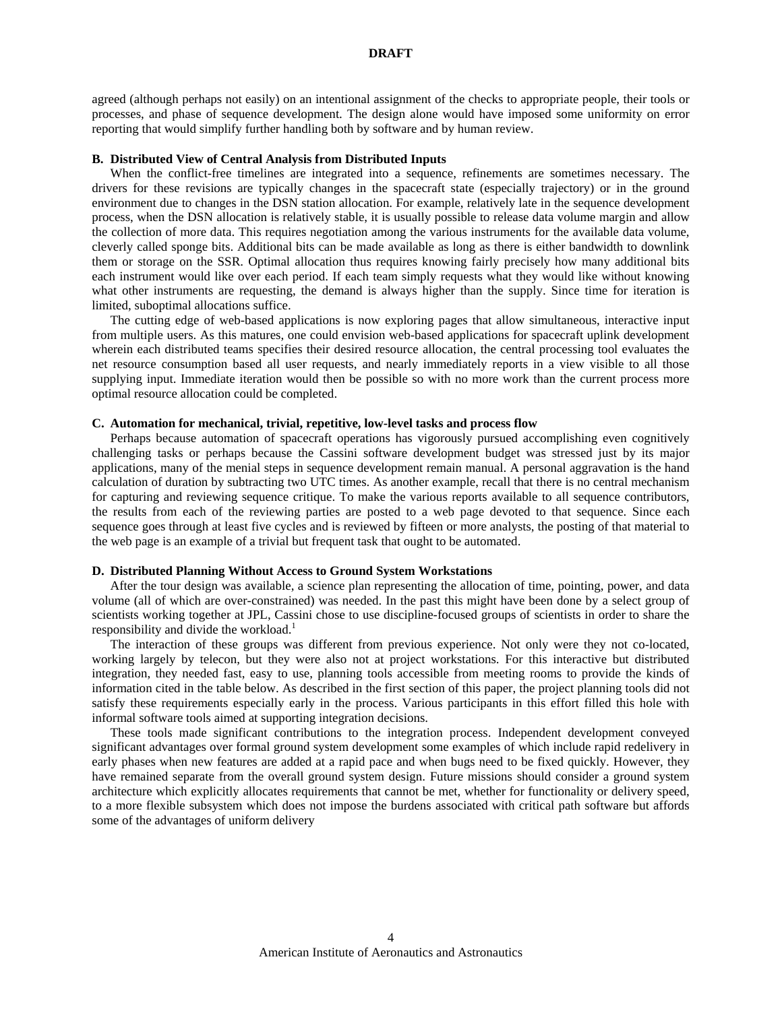#### **DRAFT**

agreed (although perhaps not easily) on an intentional assignment of the checks to appropriate people, their tools or processes, and phase of sequence development. The design alone would have imposed some uniformity on error reporting that would simplify further handling both by software and by human review.

#### **B. Distributed View of Central Analysis from Distributed Inputs**

When the conflict-free timelines are integrated into a sequence, refinements are sometimes necessary. The drivers for these revisions are typically changes in the spacecraft state (especially trajectory) or in the ground environment due to changes in the DSN station allocation. For example, relatively late in the sequence development process, when the DSN allocation is relatively stable, it is usually possible to release data volume margin and allow the collection of more data. This requires negotiation among the various instruments for the available data volume, cleverly called sponge bits. Additional bits can be made available as long as there is either bandwidth to downlink them or storage on the SSR. Optimal allocation thus requires knowing fairly precisely how many additional bits each instrument would like over each period. If each team simply requests what they would like without knowing what other instruments are requesting, the demand is always higher than the supply. Since time for iteration is limited, suboptimal allocations suffice.

The cutting edge of web-based applications is now exploring pages that allow simultaneous, interactive input from multiple users. As this matures, one could envision web-based applications for spacecraft uplink development wherein each distributed teams specifies their desired resource allocation, the central processing tool evaluates the net resource consumption based all user requests, and nearly immediately reports in a view visible to all those supplying input. Immediate iteration would then be possible so with no more work than the current process more optimal resource allocation could be completed.

#### **C. Automation for mechanical, trivial, repetitive, low-level tasks and process flow**

Perhaps because automation of spacecraft operations has vigorously pursued accomplishing even cognitively challenging tasks or perhaps because the Cassini software development budget was stressed just by its major applications, many of the menial steps in sequence development remain manual. A personal aggravation is the hand calculation of duration by subtracting two UTC times. As another example, recall that there is no central mechanism for capturing and reviewing sequence critique. To make the various reports available to all sequence contributors, the results from each of the reviewing parties are posted to a web page devoted to that sequence. Since each sequence goes through at least five cycles and is reviewed by fifteen or more analysts, the posting of that material to the web page is an example of a trivial but frequent task that ought to be automated.

# **D. Distributed Planning Without Access to Ground System Workstations**

After the tour design was available, a science plan representing the allocation of time, pointing, power, and data volume (all of which are over-constrained) was needed. In the past this might have been done by a select group of scientists working together at JPL, Cassini chose to use discipline-focused groups of scientists in order to share the responsibility and divide the workload.<sup>1</sup>

The interaction of these groups was different from previous experience. Not only were they not co-located, working largely by telecon, but they were also not at project workstations. For this interactive but distributed integration, they needed fast, easy to use, planning tools accessible from meeting rooms to provide the kinds of information cited in the table below. As described in the first section of this paper, the project planning tools did not satisfy these requirements especially early in the process. Various participants in this effort filled this hole with informal software tools aimed at supporting integration decisions.

These tools made significant contributions to the integration process. Independent development conveyed significant advantages over formal ground system development some examples of which include rapid redelivery in early phases when new features are added at a rapid pace and when bugs need to be fixed quickly. However, they have remained separate from the overall ground system design. Future missions should consider a ground system architecture which explicitly allocates requirements that cannot be met, whether for functionality or delivery speed, to a more flexible subsystem which does not impose the burdens associated with critical path software but affords some of the advantages of uniform delivery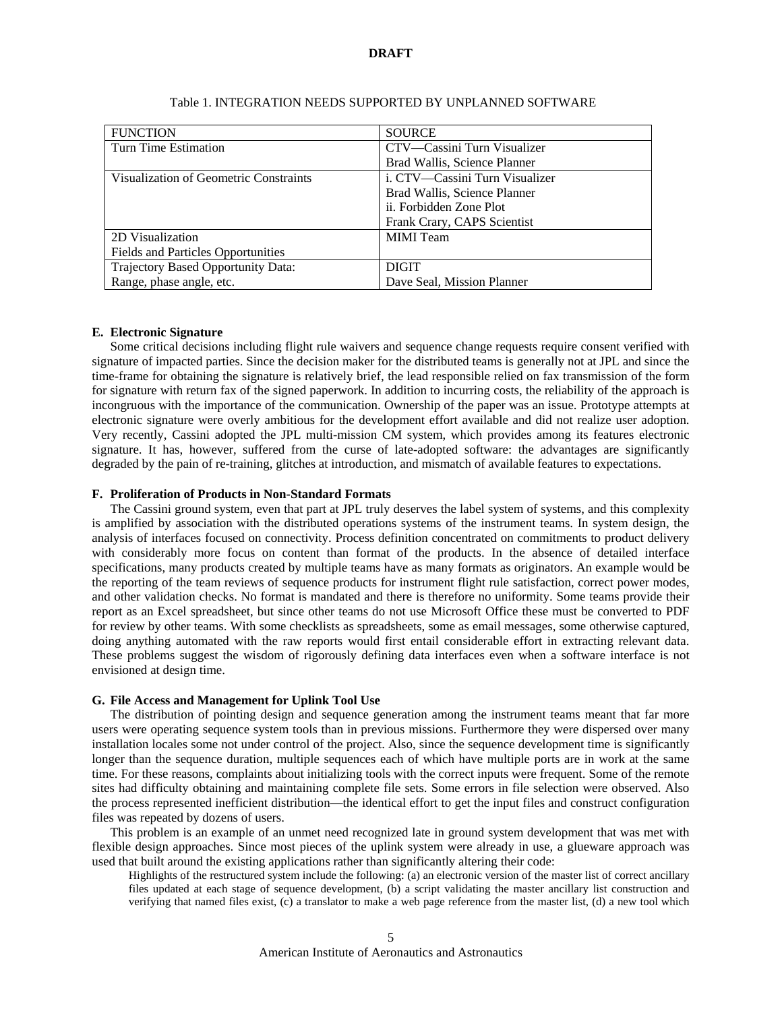| <b>FUNCTION</b>                           | <b>SOURCE</b>                  |  |
|-------------------------------------------|--------------------------------|--|
| Turn Time Estimation                      | CTV—Cassini Turn Visualizer    |  |
|                                           | Brad Wallis, Science Planner   |  |
| Visualization of Geometric Constraints    | i. CTV—Cassini Turn Visualizer |  |
|                                           | Brad Wallis, Science Planner   |  |
|                                           | ii. Forbidden Zone Plot        |  |
|                                           | Frank Crary, CAPS Scientist    |  |
| 2D Visualization                          | <b>MIMI</b> Team               |  |
| <b>Fields and Particles Opportunities</b> |                                |  |
| Trajectory Based Opportunity Data:        | <b>DIGIT</b>                   |  |
| Range, phase angle, etc.                  | Dave Seal, Mission Planner     |  |

| Table 1. INTEGRATION NEEDS SUPPORTED BY UNPLANNED SOFTWARE |  |  |  |
|------------------------------------------------------------|--|--|--|
|------------------------------------------------------------|--|--|--|

#### **E. Electronic Signature**

Some critical decisions including flight rule waivers and sequence change requests require consent verified with signature of impacted parties. Since the decision maker for the distributed teams is generally not at JPL and since the time-frame for obtaining the signature is relatively brief, the lead responsible relied on fax transmission of the form for signature with return fax of the signed paperwork. In addition to incurring costs, the reliability of the approach is incongruous with the importance of the communication. Ownership of the paper was an issue. Prototype attempts at electronic signature were overly ambitious for the development effort available and did not realize user adoption. Very recently, Cassini adopted the JPL multi-mission CM system, which provides among its features electronic signature. It has, however, suffered from the curse of late-adopted software: the advantages are significantly degraded by the pain of re-training, glitches at introduction, and mismatch of available features to expectations.

#### **F. Proliferation of Products in Non-Standard Formats**

The Cassini ground system, even that part at JPL truly deserves the label system of systems, and this complexity is amplified by association with the distributed operations systems of the instrument teams. In system design, the analysis of interfaces focused on connectivity. Process definition concentrated on commitments to product delivery with considerably more focus on content than format of the products. In the absence of detailed interface specifications, many products created by multiple teams have as many formats as originators. An example would be the reporting of the team reviews of sequence products for instrument flight rule satisfaction, correct power modes, and other validation checks. No format is mandated and there is therefore no uniformity. Some teams provide their report as an Excel spreadsheet, but since other teams do not use Microsoft Office these must be converted to PDF for review by other teams. With some checklists as spreadsheets, some as email messages, some otherwise captured, doing anything automated with the raw reports would first entail considerable effort in extracting relevant data. These problems suggest the wisdom of rigorously defining data interfaces even when a software interface is not envisioned at design time.

#### **G. File Access and Management for Uplink Tool Use**

The distribution of pointing design and sequence generation among the instrument teams meant that far more users were operating sequence system tools than in previous missions. Furthermore they were dispersed over many installation locales some not under control of the project. Also, since the sequence development time is significantly longer than the sequence duration, multiple sequences each of which have multiple ports are in work at the same time. For these reasons, complaints about initializing tools with the correct inputs were frequent. Some of the remote sites had difficulty obtaining and maintaining complete file sets. Some errors in file selection were observed. Also the process represented inefficient distribution—the identical effort to get the input files and construct configuration files was repeated by dozens of users.

This problem is an example of an unmet need recognized late in ground system development that was met with flexible design approaches. Since most pieces of the uplink system were already in use, a glueware approach was used that built around the existing applications rather than significantly altering their code:

Highlights of the restructured system include the following: (a) an electronic version of the master list of correct ancillary files updated at each stage of sequence development, (b) a script validating the master ancillary list construction and verifying that named files exist, (c) a translator to make a web page reference from the master list, (d) a new tool which